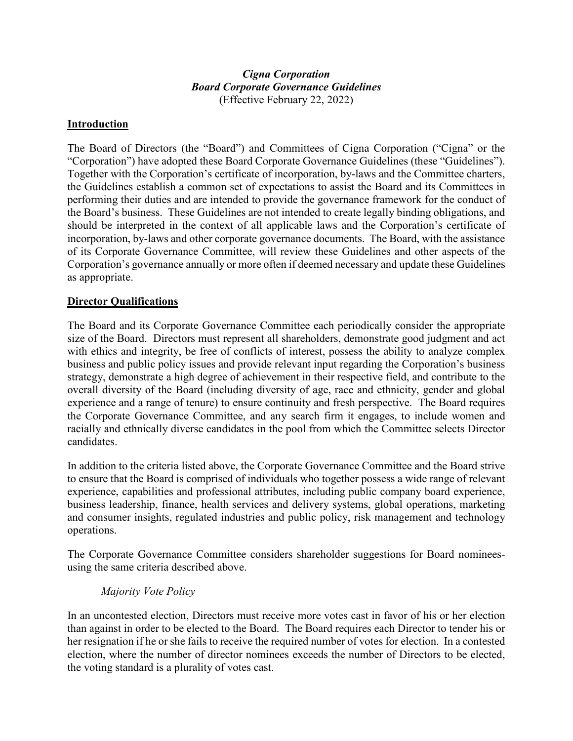## *Cigna Corporation Board Corporate Governance Guidelines* (Effective February 22, 2022)

### **Introduction**

The Board of Directors (the "Board") and Committees of Cigna Corporation ("Cigna" or the "Corporation") have adopted these Board Corporate Governance Guidelines (these "Guidelines"). Together with the Corporation's certificate of incorporation, by-laws and the Committee charters, the Guidelines establish a common set of expectations to assist the Board and its Committees in performing their duties and are intended to provide the governance framework for the conduct of the Board's business. These Guidelines are not intended to create legally binding obligations, and should be interpreted in the context of all applicable laws and the Corporation's certificate of incorporation, by-laws and other corporate governance documents. The Board, with the assistance of its Corporate Governance Committee, will review these Guidelines and other aspects of the Corporation's governance annually or more often if deemed necessary and update these Guidelines as appropriate.

### **Director Qualifications**

The Board and its Corporate Governance Committee each periodically consider the appropriate size of the Board. Directors must represent all shareholders, demonstrate good judgment and act with ethics and integrity, be free of conflicts of interest, possess the ability to analyze complex business and public policy issues and provide relevant input regarding the Corporation's business strategy, demonstrate a high degree of achievement in their respective field, and contribute to the overall diversity of the Board (including diversity of age, race and ethnicity, gender and global experience and a range of tenure) to ensure continuity and fresh perspective. The Board requires the Corporate Governance Committee, and any search firm it engages, to include women and racially and ethnically diverse candidates in the pool from which the Committee selects Director candidates.

In addition to the criteria listed above, the Corporate Governance Committee and the Board strive to ensure that the Board is comprised of individuals who together possess a wide range of relevant experience, capabilities and professional attributes, including public company board experience, business leadership, finance, health services and delivery systems, global operations, marketing and consumer insights, regulated industries and public policy, risk management and technology operations.

The Corporate Governance Committee considers shareholder suggestions for Board nomineesusing the same criteria described above.

### *Majority Vote Policy*

In an uncontested election, Directors must receive more votes cast in favor of his or her election than against in order to be elected to the Board. The Board requires each Director to tender his or her resignation if he or she fails to receive the required number of votes for election. In a contested election, where the number of director nominees exceeds the number of Directors to be elected, the voting standard is a plurality of votes cast.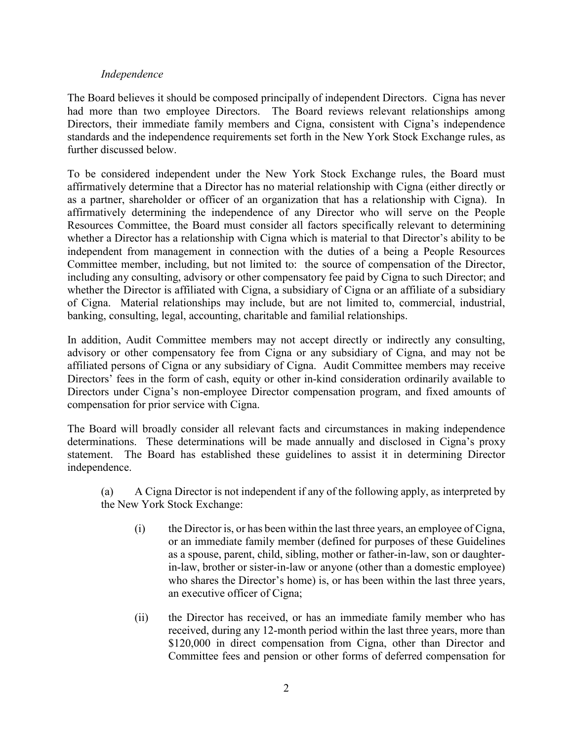### *Independence*

The Board believes it should be composed principally of independent Directors. Cigna has never had more than two employee Directors. The Board reviews relevant relationships among Directors, their immediate family members and Cigna, consistent with Cigna's independence standards and the independence requirements set forth in the New York Stock Exchange rules, as further discussed below.

To be considered independent under the New York Stock Exchange rules, the Board must affirmatively determine that a Director has no material relationship with Cigna (either directly or as a partner, shareholder or officer of an organization that has a relationship with Cigna). In affirmatively determining the independence of any Director who will serve on the People Resources Committee, the Board must consider all factors specifically relevant to determining whether a Director has a relationship with Cigna which is material to that Director's ability to be independent from management in connection with the duties of a being a People Resources Committee member, including, but not limited to: the source of compensation of the Director, including any consulting, advisory or other compensatory fee paid by Cigna to such Director; and whether the Director is affiliated with Cigna, a subsidiary of Cigna or an affiliate of a subsidiary of Cigna. Material relationships may include, but are not limited to, commercial, industrial, banking, consulting, legal, accounting, charitable and familial relationships.

In addition, Audit Committee members may not accept directly or indirectly any consulting, advisory or other compensatory fee from Cigna or any subsidiary of Cigna, and may not be affiliated persons of Cigna or any subsidiary of Cigna. Audit Committee members may receive Directors' fees in the form of cash, equity or other in-kind consideration ordinarily available to Directors under Cigna's non-employee Director compensation program, and fixed amounts of compensation for prior service with Cigna.

The Board will broadly consider all relevant facts and circumstances in making independence determinations. These determinations will be made annually and disclosed in Cigna's proxy statement. The Board has established these guidelines to assist it in determining Director independence.

(a) A Cigna Director is not independent if any of the following apply, as interpreted by the New York Stock Exchange:

- (i) the Director is, or has been within the last three years, an employee of Cigna, or an immediate family member (defined for purposes of these Guidelines as a spouse, parent, child, sibling, mother or father-in-law, son or daughterin-law, brother or sister-in-law or anyone (other than a domestic employee) who shares the Director's home) is, or has been within the last three years, an executive officer of Cigna;
- (ii) the Director has received, or has an immediate family member who has received, during any 12-month period within the last three years, more than \$120,000 in direct compensation from Cigna, other than Director and Committee fees and pension or other forms of deferred compensation for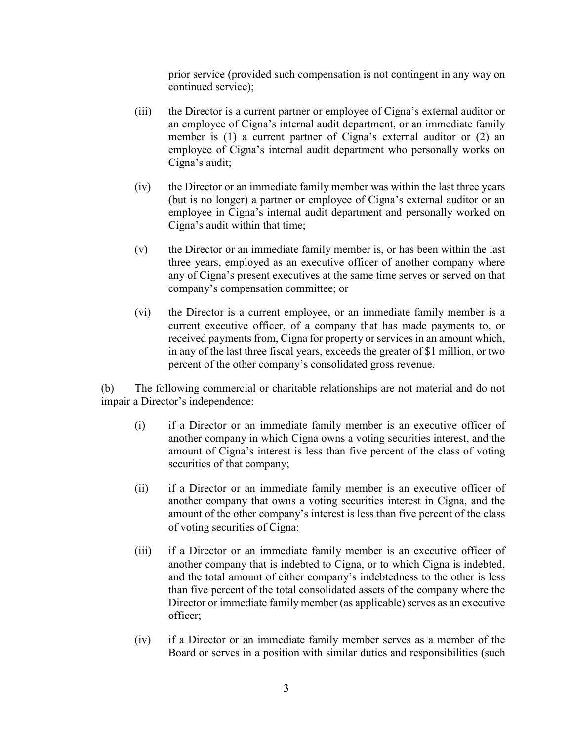prior service (provided such compensation is not contingent in any way on continued service);

- (iii) the Director is a current partner or employee of Cigna's external auditor or an employee of Cigna's internal audit department, or an immediate family member is (1) a current partner of Cigna's external auditor or (2) an employee of Cigna's internal audit department who personally works on Cigna's audit;
- (iv) the Director or an immediate family member was within the last three years (but is no longer) a partner or employee of Cigna's external auditor or an employee in Cigna's internal audit department and personally worked on Cigna's audit within that time;
- (v) the Director or an immediate family member is, or has been within the last three years, employed as an executive officer of another company where any of Cigna's present executives at the same time serves or served on that company's compensation committee; or
- (vi) the Director is a current employee, or an immediate family member is a current executive officer, of a company that has made payments to, or received payments from, Cigna for property or services in an amount which, in any of the last three fiscal years, exceeds the greater of \$1 million, or two percent of the other company's consolidated gross revenue.

(b) The following commercial or charitable relationships are not material and do not impair a Director's independence:

- (i) if a Director or an immediate family member is an executive officer of another company in which Cigna owns a voting securities interest, and the amount of Cigna's interest is less than five percent of the class of voting securities of that company;
- (ii) if a Director or an immediate family member is an executive officer of another company that owns a voting securities interest in Cigna, and the amount of the other company's interest is less than five percent of the class of voting securities of Cigna;
- (iii) if a Director or an immediate family member is an executive officer of another company that is indebted to Cigna, or to which Cigna is indebted, and the total amount of either company's indebtedness to the other is less than five percent of the total consolidated assets of the company where the Director or immediate family member (as applicable) serves as an executive officer;
- (iv) if a Director or an immediate family member serves as a member of the Board or serves in a position with similar duties and responsibilities (such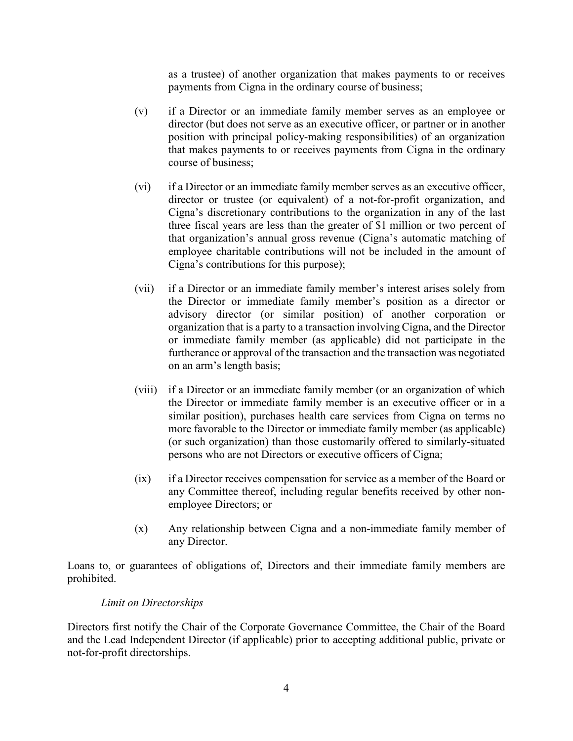as a trustee) of another organization that makes payments to or receives payments from Cigna in the ordinary course of business;

- (v) if a Director or an immediate family member serves as an employee or director (but does not serve as an executive officer, or partner or in another position with principal policy-making responsibilities) of an organization that makes payments to or receives payments from Cigna in the ordinary course of business;
- (vi) if a Director or an immediate family member serves as an executive officer, director or trustee (or equivalent) of a not-for-profit organization, and Cigna's discretionary contributions to the organization in any of the last three fiscal years are less than the greater of \$1 million or two percent of that organization's annual gross revenue (Cigna's automatic matching of employee charitable contributions will not be included in the amount of Cigna's contributions for this purpose);
- (vii) if a Director or an immediate family member's interest arises solely from the Director or immediate family member's position as a director or advisory director (or similar position) of another corporation or organization that is a party to a transaction involving Cigna, and the Director or immediate family member (as applicable) did not participate in the furtherance or approval of the transaction and the transaction was negotiated on an arm's length basis;
- (viii) if a Director or an immediate family member (or an organization of which the Director or immediate family member is an executive officer or in a similar position), purchases health care services from Cigna on terms no more favorable to the Director or immediate family member (as applicable) (or such organization) than those customarily offered to similarly-situated persons who are not Directors or executive officers of Cigna;
- (ix) if a Director receives compensation for service as a member of the Board or any Committee thereof, including regular benefits received by other nonemployee Directors; or
- (x) Any relationship between Cigna and a non-immediate family member of any Director.

Loans to, or guarantees of obligations of, Directors and their immediate family members are prohibited.

### *Limit on Directorships*

Directors first notify the Chair of the Corporate Governance Committee, the Chair of the Board and the Lead Independent Director (if applicable) prior to accepting additional public, private or not-for-profit directorships.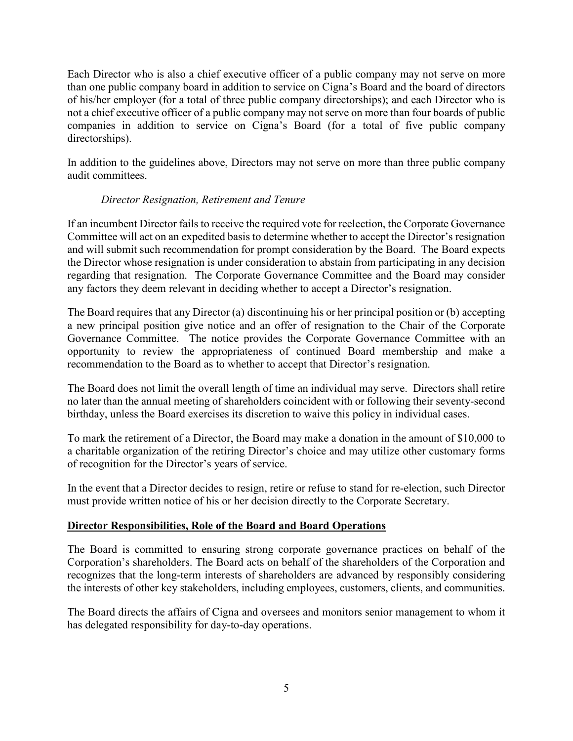Each Director who is also a chief executive officer of a public company may not serve on more than one public company board in addition to service on Cigna's Board and the board of directors of his/her employer (for a total of three public company directorships); and each Director who is not a chief executive officer of a public company may not serve on more than four boards of public companies in addition to service on Cigna's Board (for a total of five public company directorships).

In addition to the guidelines above, Directors may not serve on more than three public company audit committees.

# *Director Resignation, Retirement and Tenure*

If an incumbent Director fails to receive the required vote for reelection, the Corporate Governance Committee will act on an expedited basis to determine whether to accept the Director's resignation and will submit such recommendation for prompt consideration by the Board. The Board expects the Director whose resignation is under consideration to abstain from participating in any decision regarding that resignation. The Corporate Governance Committee and the Board may consider any factors they deem relevant in deciding whether to accept a Director's resignation.

The Board requires that any Director (a) discontinuing his or her principal position or (b) accepting a new principal position give notice and an offer of resignation to the Chair of the Corporate Governance Committee. The notice provides the Corporate Governance Committee with an opportunity to review the appropriateness of continued Board membership and make a recommendation to the Board as to whether to accept that Director's resignation.

The Board does not limit the overall length of time an individual may serve. Directors shall retire no later than the annual meeting of shareholders coincident with or following their seventy-second birthday, unless the Board exercises its discretion to waive this policy in individual cases.

To mark the retirement of a Director, the Board may make a donation in the amount of \$10,000 to a charitable organization of the retiring Director's choice and may utilize other customary forms of recognition for the Director's years of service.

In the event that a Director decides to resign, retire or refuse to stand for re-election, such Director must provide written notice of his or her decision directly to the Corporate Secretary.

# **Director Responsibilities, Role of the Board and Board Operations**

The Board is committed to ensuring strong corporate governance practices on behalf of the Corporation's shareholders. The Board acts on behalf of the shareholders of the Corporation and recognizes that the long-term interests of shareholders are advanced by responsibly considering the interests of other key stakeholders, including employees, customers, clients, and communities.

The Board directs the affairs of Cigna and oversees and monitors senior management to whom it has delegated responsibility for day-to-day operations.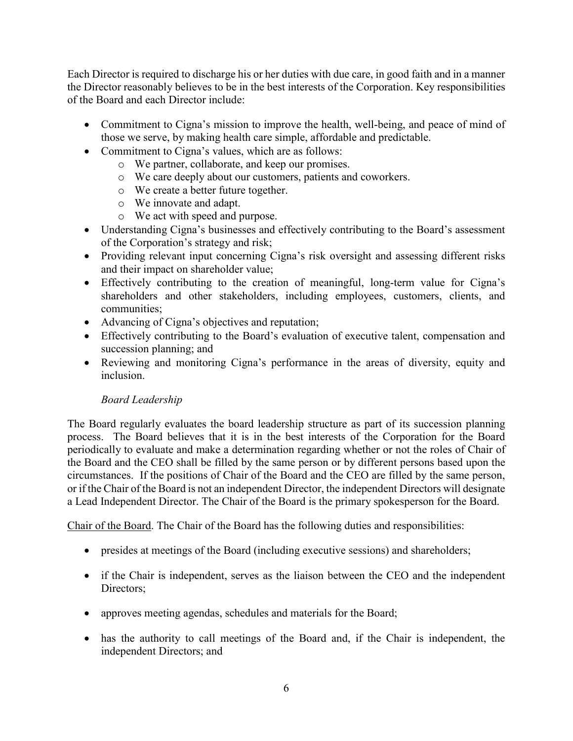Each Director is required to discharge his or her duties with due care, in good faith and in a manner the Director reasonably believes to be in the best interests of the Corporation. Key responsibilities of the Board and each Director include:

- Commitment to Cigna's mission to improve the health, well-being, and peace of mind of those we serve, by making health care simple, affordable and predictable.
- Commitment to Cigna's values, which are as follows:
	- o We partner, collaborate, and keep our promises.
	- o We care deeply about our customers, patients and coworkers.
	- o We create a better future together.
	- o We innovate and adapt.
	- o We act with speed and purpose.
- Understanding Cigna's businesses and effectively contributing to the Board's assessment of the Corporation's strategy and risk;
- Providing relevant input concerning Cigna's risk oversight and assessing different risks and their impact on shareholder value;
- Effectively contributing to the creation of meaningful, long-term value for Cigna's shareholders and other stakeholders, including employees, customers, clients, and communities;
- Advancing of Cigna's objectives and reputation;
- Effectively contributing to the Board's evaluation of executive talent, compensation and succession planning; and
- Reviewing and monitoring Cigna's performance in the areas of diversity, equity and inclusion.

# *Board Leadership*

The Board regularly evaluates the board leadership structure as part of its succession planning process. The Board believes that it is in the best interests of the Corporation for the Board periodically to evaluate and make a determination regarding whether or not the roles of Chair of the Board and the CEO shall be filled by the same person or by different persons based upon the circumstances. If the positions of Chair of the Board and the CEO are filled by the same person, or if the Chair of the Board is not an independent Director, the independent Directors will designate a Lead Independent Director. The Chair of the Board is the primary spokesperson for the Board.

Chair of the Board. The Chair of the Board has the following duties and responsibilities:

- presides at meetings of the Board (including executive sessions) and shareholders;
- if the Chair is independent, serves as the liaison between the CEO and the independent Directors;
- approves meeting agendas, schedules and materials for the Board;
- has the authority to call meetings of the Board and, if the Chair is independent, the independent Directors; and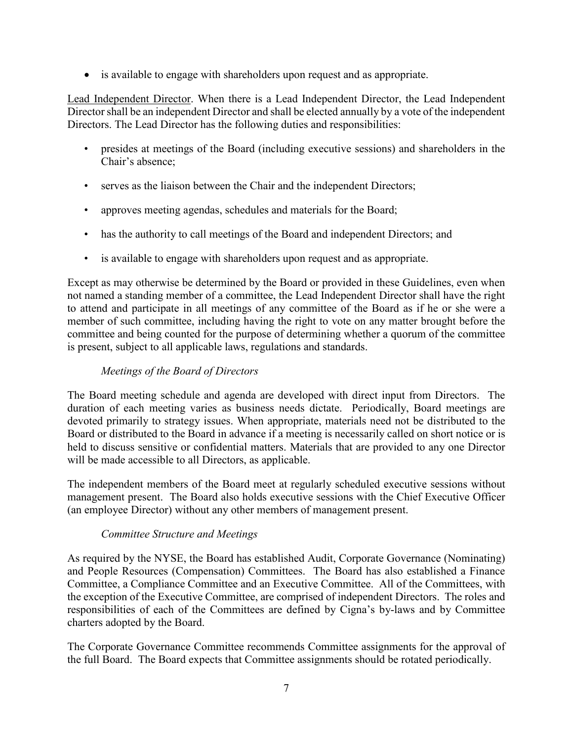• is available to engage with shareholders upon request and as appropriate.

Lead Independent Director. When there is a Lead Independent Director, the Lead Independent Director shall be an independent Director and shall be elected annually by a vote of the independent Directors. The Lead Director has the following duties and responsibilities:

- presides at meetings of the Board (including executive sessions) and shareholders in the Chair's absence;
- serves as the liaison between the Chair and the independent Directors;
- approves meeting agendas, schedules and materials for the Board;
- has the authority to call meetings of the Board and independent Directors; and
- is available to engage with shareholders upon request and as appropriate.

Except as may otherwise be determined by the Board or provided in these Guidelines, even when not named a standing member of a committee, the Lead Independent Director shall have the right to attend and participate in all meetings of any committee of the Board as if he or she were a member of such committee, including having the right to vote on any matter brought before the committee and being counted for the purpose of determining whether a quorum of the committee is present, subject to all applicable laws, regulations and standards.

# *Meetings of the Board of Directors*

The Board meeting schedule and agenda are developed with direct input from Directors. The duration of each meeting varies as business needs dictate. Periodically, Board meetings are devoted primarily to strategy issues. When appropriate, materials need not be distributed to the Board or distributed to the Board in advance if a meeting is necessarily called on short notice or is held to discuss sensitive or confidential matters. Materials that are provided to any one Director will be made accessible to all Directors, as applicable.

The independent members of the Board meet at regularly scheduled executive sessions without management present. The Board also holds executive sessions with the Chief Executive Officer (an employee Director) without any other members of management present.

# *Committee Structure and Meetings*

As required by the NYSE, the Board has established Audit, Corporate Governance (Nominating) and People Resources (Compensation) Committees. The Board has also established a Finance Committee, a Compliance Committee and an Executive Committee. All of the Committees, with the exception of the Executive Committee, are comprised of independent Directors. The roles and responsibilities of each of the Committees are defined by Cigna's by-laws and by Committee charters adopted by the Board.

The Corporate Governance Committee recommends Committee assignments for the approval of the full Board. The Board expects that Committee assignments should be rotated periodically.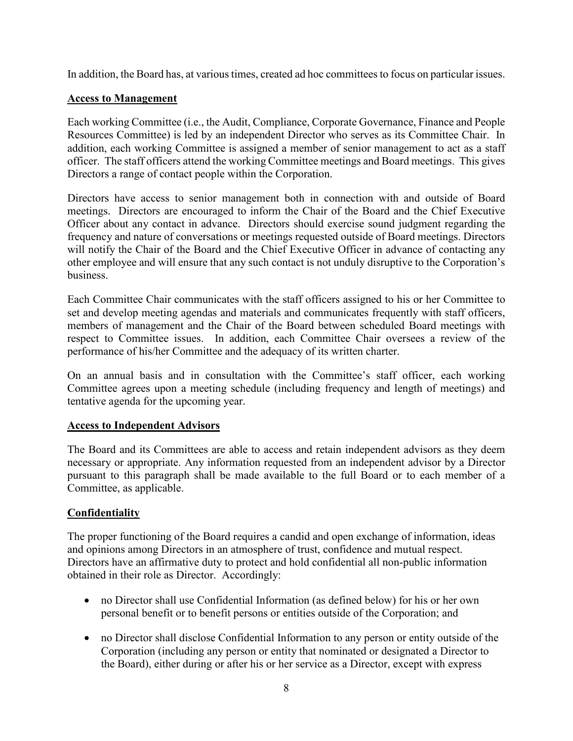In addition, the Board has, at various times, created ad hoc committees to focus on particular issues.

### **Access to Management**

Each working Committee (i.e., the Audit, Compliance, Corporate Governance, Finance and People Resources Committee) is led by an independent Director who serves as its Committee Chair. In addition, each working Committee is assigned a member of senior management to act as a staff officer. The staff officers attend the working Committee meetings and Board meetings. This gives Directors a range of contact people within the Corporation.

Directors have access to senior management both in connection with and outside of Board meetings. Directors are encouraged to inform the Chair of the Board and the Chief Executive Officer about any contact in advance. Directors should exercise sound judgment regarding the frequency and nature of conversations or meetings requested outside of Board meetings. Directors will notify the Chair of the Board and the Chief Executive Officer in advance of contacting any other employee and will ensure that any such contact is not unduly disruptive to the Corporation's business.

Each Committee Chair communicates with the staff officers assigned to his or her Committee to set and develop meeting agendas and materials and communicates frequently with staff officers, members of management and the Chair of the Board between scheduled Board meetings with respect to Committee issues. In addition, each Committee Chair oversees a review of the performance of his/her Committee and the adequacy of its written charter.

On an annual basis and in consultation with the Committee's staff officer, each working Committee agrees upon a meeting schedule (including frequency and length of meetings) and tentative agenda for the upcoming year.

### **Access to Independent Advisors**

The Board and its Committees are able to access and retain independent advisors as they deem necessary or appropriate. Any information requested from an independent advisor by a Director pursuant to this paragraph shall be made available to the full Board or to each member of a Committee, as applicable.

# **Confidentiality**

The proper functioning of the Board requires a candid and open exchange of information, ideas and opinions among Directors in an atmosphere of trust, confidence and mutual respect. Directors have an affirmative duty to protect and hold confidential all non-public information obtained in their role as Director. Accordingly:

- no Director shall use Confidential Information (as defined below) for his or her own personal benefit or to benefit persons or entities outside of the Corporation; and
- no Director shall disclose Confidential Information to any person or entity outside of the Corporation (including any person or entity that nominated or designated a Director to the Board), either during or after his or her service as a Director, except with express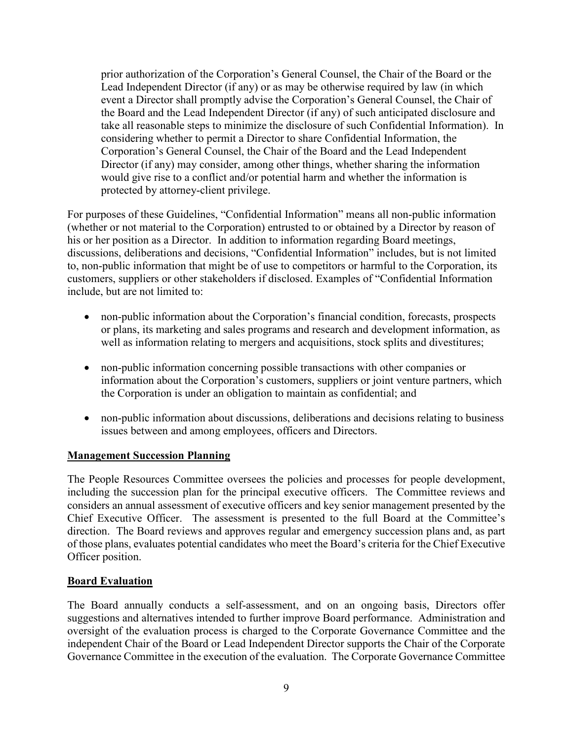prior authorization of the Corporation's General Counsel, the Chair of the Board or the Lead Independent Director (if any) or as may be otherwise required by law (in which event a Director shall promptly advise the Corporation's General Counsel, the Chair of the Board and the Lead Independent Director (if any) of such anticipated disclosure and take all reasonable steps to minimize the disclosure of such Confidential Information). In considering whether to permit a Director to share Confidential Information, the Corporation's General Counsel, the Chair of the Board and the Lead Independent Director (if any) may consider, among other things, whether sharing the information would give rise to a conflict and/or potential harm and whether the information is protected by attorney-client privilege.

For purposes of these Guidelines, "Confidential Information" means all non-public information (whether or not material to the Corporation) entrusted to or obtained by a Director by reason of his or her position as a Director. In addition to information regarding Board meetings, discussions, deliberations and decisions, "Confidential Information" includes, but is not limited to, non-public information that might be of use to competitors or harmful to the Corporation, its customers, suppliers or other stakeholders if disclosed. Examples of "Confidential Information include, but are not limited to:

- non-public information about the Corporation's financial condition, forecasts, prospects or plans, its marketing and sales programs and research and development information, as well as information relating to mergers and acquisitions, stock splits and divestitures;
- non-public information concerning possible transactions with other companies or information about the Corporation's customers, suppliers or joint venture partners, which the Corporation is under an obligation to maintain as confidential; and
- non-public information about discussions, deliberations and decisions relating to business issues between and among employees, officers and Directors.

# **Management Succession Planning**

The People Resources Committee oversees the policies and processes for people development, including the succession plan for the principal executive officers. The Committee reviews and considers an annual assessment of executive officers and key senior management presented by the Chief Executive Officer. The assessment is presented to the full Board at the Committee's direction. The Board reviews and approves regular and emergency succession plans and, as part of those plans, evaluates potential candidates who meet the Board's criteria for the Chief Executive Officer position.

### **Board Evaluation**

The Board annually conducts a self-assessment, and on an ongoing basis, Directors offer suggestions and alternatives intended to further improve Board performance. Administration and oversight of the evaluation process is charged to the Corporate Governance Committee and the independent Chair of the Board or Lead Independent Director supports the Chair of the Corporate Governance Committee in the execution of the evaluation. The Corporate Governance Committee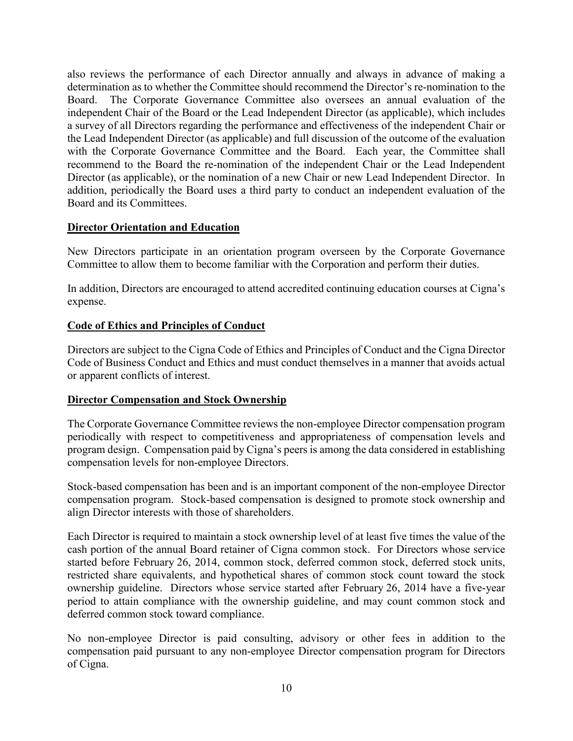also reviews the performance of each Director annually and always in advance of making a determination as to whether the Committee should recommend the Director's re-nomination to the Board. The Corporate Governance Committee also oversees an annual evaluation of the independent Chair of the Board or the Lead Independent Director (as applicable), which includes a survey of all Directors regarding the performance and effectiveness of the independent Chair or the Lead Independent Director (as applicable) and full discussion of the outcome of the evaluation with the Corporate Governance Committee and the Board. Each year, the Committee shall recommend to the Board the re-nomination of the independent Chair or the Lead Independent Director (as applicable), or the nomination of a new Chair or new Lead Independent Director. In addition, periodically the Board uses a third party to conduct an independent evaluation of the Board and its Committees.

# **Director Orientation and Education**

New Directors participate in an orientation program overseen by the Corporate Governance Committee to allow them to become familiar with the Corporation and perform their duties.

In addition, Directors are encouraged to attend accredited continuing education courses at Cigna's expense.

## **Code of Ethics and Principles of Conduct**

Directors are subject to the Cigna Code of Ethics and Principles of Conduct and the Cigna Director Code of Business Conduct and Ethics and must conduct themselves in a manner that avoids actual or apparent conflicts of interest.

### **Director Compensation and Stock Ownership**

The Corporate Governance Committee reviews the non-employee Director compensation program periodically with respect to competitiveness and appropriateness of compensation levels and program design. Compensation paid by Cigna's peers is among the data considered in establishing compensation levels for non-employee Directors.

Stock-based compensation has been and is an important component of the non-employee Director compensation program. Stock-based compensation is designed to promote stock ownership and align Director interests with those of shareholders.

Each Director is required to maintain a stock ownership level of at least five times the value of the cash portion of the annual Board retainer of Cigna common stock. For Directors whose service started before February 26, 2014, common stock, deferred common stock, deferred stock units, restricted share equivalents, and hypothetical shares of common stock count toward the stock ownership guideline. Directors whose service started after February 26, 2014 have a five-year period to attain compliance with the ownership guideline, and may count common stock and deferred common stock toward compliance.

No non-employee Director is paid consulting, advisory or other fees in addition to the compensation paid pursuant to any non-employee Director compensation program for Directors of Cigna.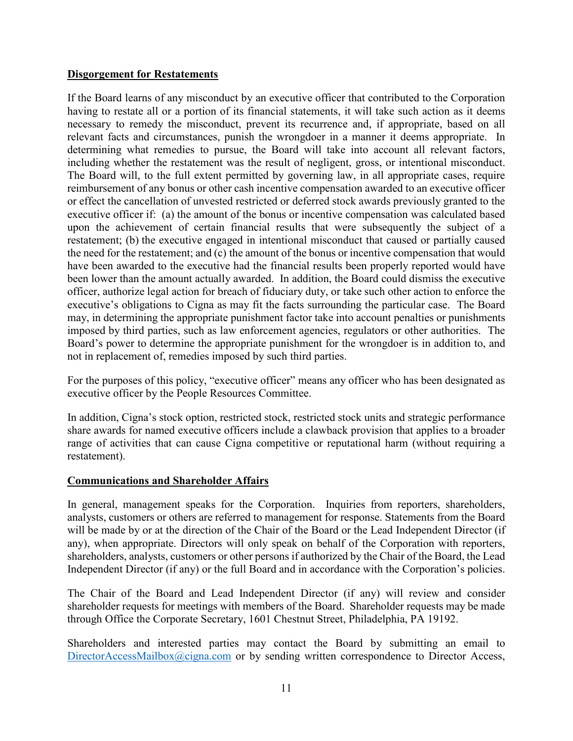## **Disgorgement for Restatements**

If the Board learns of any misconduct by an executive officer that contributed to the Corporation having to restate all or a portion of its financial statements, it will take such action as it deems necessary to remedy the misconduct, prevent its recurrence and, if appropriate, based on all relevant facts and circumstances, punish the wrongdoer in a manner it deems appropriate. In determining what remedies to pursue, the Board will take into account all relevant factors, including whether the restatement was the result of negligent, gross, or intentional misconduct. The Board will, to the full extent permitted by governing law, in all appropriate cases, require reimbursement of any bonus or other cash incentive compensation awarded to an executive officer or effect the cancellation of unvested restricted or deferred stock awards previously granted to the executive officer if: (a) the amount of the bonus or incentive compensation was calculated based upon the achievement of certain financial results that were subsequently the subject of a restatement; (b) the executive engaged in intentional misconduct that caused or partially caused the need for the restatement; and (c) the amount of the bonus or incentive compensation that would have been awarded to the executive had the financial results been properly reported would have been lower than the amount actually awarded. In addition, the Board could dismiss the executive officer, authorize legal action for breach of fiduciary duty, or take such other action to enforce the executive's obligations to Cigna as may fit the facts surrounding the particular case. The Board may, in determining the appropriate punishment factor take into account penalties or punishments imposed by third parties, such as law enforcement agencies, regulators or other authorities. The Board's power to determine the appropriate punishment for the wrongdoer is in addition to, and not in replacement of, remedies imposed by such third parties.

For the purposes of this policy, "executive officer" means any officer who has been designated as executive officer by the People Resources Committee.

In addition, Cigna's stock option, restricted stock, restricted stock units and strategic performance share awards for named executive officers include a clawback provision that applies to a broader range of activities that can cause Cigna competitive or reputational harm (without requiring a restatement).

# **Communications and Shareholder Affairs**

In general, management speaks for the Corporation. Inquiries from reporters, shareholders, analysts, customers or others are referred to management for response. Statements from the Board will be made by or at the direction of the Chair of the Board or the Lead Independent Director (if any), when appropriate. Directors will only speak on behalf of the Corporation with reporters, shareholders, analysts, customers or other persons if authorized by the Chair of the Board, the Lead Independent Director (if any) or the full Board and in accordance with the Corporation's policies.

The Chair of the Board and Lead Independent Director (if any) will review and consider shareholder requests for meetings with members of the Board. Shareholder requests may be made through Office the Corporate Secretary, 1601 Chestnut Street, Philadelphia, PA 19192.

Shareholders and interested parties may contact the Board by submitting an email to [DirectorAccessMailbox@cigna.com](mailto:DirectorAccessMailbox@cigna.com) or by sending written correspondence to Director Access,